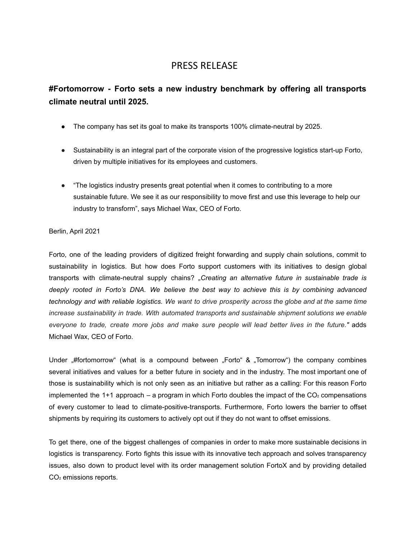## PRESS RELEASE

# **#Fortomorrow - Forto sets a new industry benchmark by offering all transports climate neutral until 2025.**

- The company has set its goal to make its transports 100% climate-neutral by 2025.
- Sustainability is an integral part of the corporate vision of the progressive logistics start-up Forto, driven by multiple initiatives for its employees and customers.
- "The logistics industry presents great potential when it comes to contributing to a more sustainable future. We see it as our responsibility to move first and use this leverage to help our industry to transform", says Michael Wax, CEO of Forto.

## Berlin, April 2021

Forto, one of the leading providers of digitized freight forwarding and supply chain solutions, commit to sustainability in logistics. But how does Forto support customers with its initiatives to design global transports with climate-neutral supply chains? *"Creating an alternative future in sustainable trade is deeply rooted in Forto's DNA. We believe the best way to achieve this is by combining advanced* technology and with reliable logistics. We want to drive prosperity across the globe and at the same time *increase sustainability in trade. With automated transports and sustainable shipment solutions we enable everyone to trade, create more jobs and make sure people will lead better lives in the future."* adds Michael Wax, CEO of Forto.

Under ..#fortomorrow" (what is a compound between ..Forto & ..Tomorrow the company combines several initiatives and values for a better future in society and in the industry. The most important one of those is sustainability which is not only seen as an initiative but rather as a calling: For this reason Forto implemented the 1+1 approach – a program in which Forto doubles the impact of the  $CO<sub>2</sub>$  compensations of every customer to lead to climate-positive-transports. Furthermore, Forto lowers the barrier to offset shipments by requiring its customers to actively opt out if they do not want to offset emissions.

To get there, one of the biggest challenges of companies in order to make more sustainable decisions in logistics is transparency. Forto fights this issue with its innovative tech approach and solves transparency issues, also down to product level with its order management solution FortoX and by providing detailed CO<sub>2</sub> emissions reports.